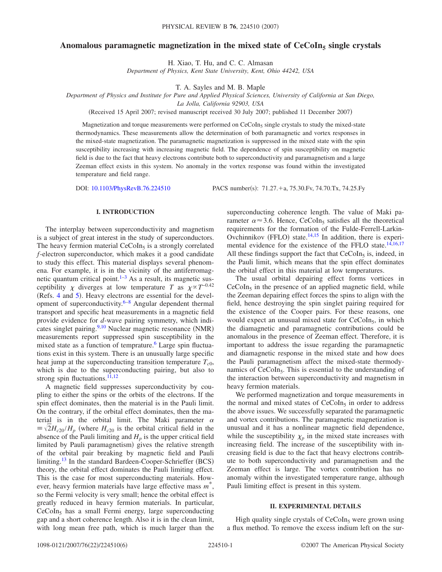# Anomalous paramagnetic magnetization in the mixed state of CeCoIn<sub>5</sub> single crystals

H. Xiao, T. Hu, and C. C. Almasan

*Department of Physics, Kent State University, Kent, Ohio 44242, USA*

T. A. Sayles and M. B. Maple

*Department of Physics and Institute for Pure and Applied Physical Sciences, University of California at San Diego,*

*La Jolla, California 92903, USA*

(Received 15 April 2007; revised manuscript received 30 July 2007; published 11 December 2007)

Magnetization and torque measurements were performed on  $CeCoIn<sub>5</sub>$  single crystals to study the mixed-state thermodynamics. These measurements allow the determination of both paramagnetic and vortex responses in the mixed-state magnetization. The paramagnetic magnetization is suppressed in the mixed state with the spin susceptibility increasing with increasing magnetic field. The dependence of spin susceptibility on magnetic field is due to the fact that heavy electrons contribute both to superconductivity and paramagnetism and a large Zeeman effect exists in this system. No anomaly in the vortex response was found within the investigated temperature and field range.

DOI: [10.1103/PhysRevB.76.224510](http://dx.doi.org/10.1103/PhysRevB.76.224510)

PACS number(s):  $71.27.+a$ ,  $75.30.Fv$ ,  $74.70.Tx$ ,  $74.25.Fy$ 

# **I. INTRODUCTION**

The interplay between superconductivity and magnetism is a subject of great interest in the study of superconductors. The heavy fermion material  $CeCoIn<sub>5</sub>$  is a strongly correlated *f*-electron superconductor, which makes it a good candidate to study this effect. This material displays several phenomena. For example, it is in the vicinity of the antiferromagnetic quantum critical point. $1-3$  As a result, its magnetic susceptibility  $\chi$  diverges at low temperature *T* as  $\chi \propto T^{-0.42}$ (Refs. [4](#page-4-2) and  $5$ ). Heavy electrons are essential for the development of superconductivity. $6-8$  $6-8$  Angular dependent thermal transport and specific heat measurements in a magnetic field provide evidence for *d*-wave pairing symmetry, which indi-cates singlet pairing.<sup>9,[10](#page-4-7)</sup> Nuclear magnetic resonance (NMR) measurements report suppressed spin susceptibility in the mixed state as a function of temprature.<sup>6</sup> Large spin fluctuations exist in this system. There is an unusually large specific heat jump at the superconducting transition temperature  $T_{c0}$ , which is due to the superconducting pairing, but also to strong spin fluctuations.<sup>11,[12](#page-4-9)</sup>

A magnetic field suppresses superconductivity by coupling to either the spins or the orbits of the electrons. If the spin effect dominates, then the material is in the Pauli limit. On the contrary, if the orbital effect dominates, then the material is in the orbital limit. The Maki parameter  $\alpha$  $\equiv \sqrt{2H_{c20}/H_p}$  (where  $H_{c20}$  is the orbital critical field in the absence of the Pauli limiting and  $H_p$  is the upper critical field limited by Pauli paramagnetism) gives the relative strength of the orbital pair breaking by magnetic field and Pauli limiting.<sup>13</sup> In the standard Bardeen-Cooper-Schrieffer (BCS) theory, the orbital effect dominates the Pauli limiting effect. This is the case for most superconducting materials. However, heavy fermion materials have large effective mass *m*\*, so the Fermi velocity is very small; hence the orbital effect is greatly reduced in heavy fermion materials. In particular,  $CeCoIn<sub>5</sub>$  has a small Fermi energy, large superconducting gap and a short coherence length. Also it is in the clean limit, with long mean free path, which is much larger than the superconducting coherence length. The value of Maki parameter  $\alpha \approx 3.6$ . Hence, CeCoIn<sub>5</sub> satisfies all the theoretical requirements for the formation of the Fulde-Ferrell-Larkin-Ovchinnikov (FFLO) state.<sup>14[,15](#page-4-12)</sup> In addition, there is experimental evidence for the existence of the FFLO state. $14,16,17$  $14,16,17$  $14,16,17$ All these findings support the fact that  $CeCoIn<sub>5</sub>$  is, indeed, in the Pauli limit, which means that the spin effect dominates the orbital effect in this material at low temperatures.

The usual orbital depairing effect forms vortices in  $CeCoIn<sub>5</sub>$  in the presence of an applied magnetic field, while the Zeeman depairing effect forces the spins to align with the field, hence destroying the spin singlet pairing required for the existence of the Cooper pairs. For these reasons, one would expect an unusual mixed state for  $CeCoIn<sub>5</sub>$ , in which the diamagnetic and paramagnetic contributions could be anomalous in the presence of Zeeman effect. Therefore, it is important to address the issue regarding the paramagnetic and diamagnetic response in the mixed state and how does the Pauli paramagnetism affect the mixed-state thermodynamics of CeCoIn<sub>5</sub>. This is essential to the understanding of the interaction between superconductivity and magnetism in heavy fermion materials.

We performed magnetization and torque measurements in the normal and mixed states of  $CeCoIn<sub>5</sub>$  in order to address the above issues. We successfully separated the paramagnetic and vortex contributions. The paramagnetic magnetization is unusual and it has a nonlinear magnetic field dependence, while the susceptibility  $\chi_p$  in the mixed state increases with increasing field. The increase of the susceptibility with increasing field is due to the fact that heavy electrons contribute to both superconductivity and paramagnetism and the Zeeman effect is large. The vortex contribution has no anomaly within the investigated temperature range, although Pauli limiting effect is present in this system.

#### **II. EXPERIMENTAL DETAILS**

High quality single crystals of  $CeCoIn<sub>5</sub>$  were grown using a flux method. To remove the excess indium left on the sur-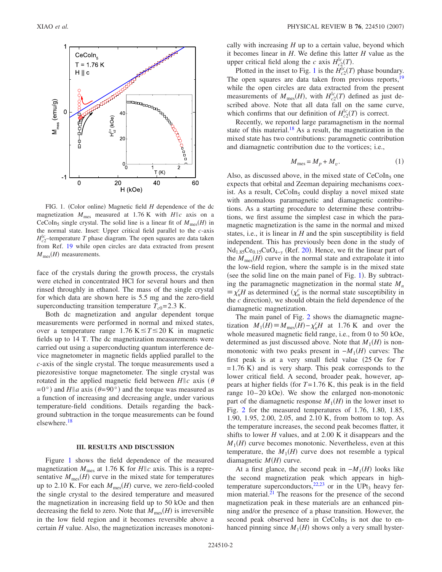<span id="page-1-0"></span>

FIG. 1. (Color online) Magnetic field *H* dependence of the dc magnetization  $M_{\text{mes}}$  measured at 1.76 K with  $H\|c$  axis on a CeCoIn<sub>5</sub> single crystal. The solid line is a linear fit of  $M_{\text{mes}}(H)$  in the normal state. Inset: Upper critical field parallel to the *c*-axis  $H_{c2}^{||c}$ -temperature *T* phase diagram. The open squares are data taken from Ref. [19](#page-4-16) while open circles are data extracted from present  $M_{\text{mes}}(H)$  measurements.

face of the crystals during the growth process, the crystals were etched in concentrated HCl for several hours and then rinsed throughly in ethanol. The mass of the single crystal for which data are shown here is 5.5 mg and the zero-field superconducting transition temperature  $T_{c0}$ = 2.3 K.

Both dc magnetization and angular dependent torque measurements were performed in normal and mixed states, over a temperature range 1.76 K $\leq T \leq 20$  K in magnetic fields up to 14 T. The dc magnetization measurements were carried out using a superconducting quantum interference device magnetometer in magnetic fields applied parallel to the *c*-axis of the single crystal. The torque measurements used a piezoresistive torque magnetometer. The single crystal was rotated in the applied magnetic field between  $H\|c$  axis ( $\theta$  $= 0^{\circ}$ ) and *H*||a axis ( $\theta = 90^{\circ}$ ) and the torque was measured as a function of increasing and decreasing angle, under various temperature-field conditions. Details regarding the background subtraction in the torque measurements can be found elsewhere[.18](#page-4-15)

#### **III. RESULTS AND DISCUSSION**

Figure [1](#page-1-0) shows the field dependence of the measured magnetization  $M_{\text{mes}}$  at 1.76 K for  $H||c$  axis. This is a representative  $M_{\text{mes}}(H)$  curve in the mixed state for temperatures up to 2.10 K. For each  $M_{\text{mes}}(H)$  curve, we zero-field-cooled the single crystal to the desired temperature and measured the magnetization in increasing field up to 50 kOe and then decreasing the field to zero. Note that  $M_{\text{mes}}(H)$  is irreversible in the low field region and it becomes reversible above a certain *H* value. Also, the magnetization increases monotonically with increasing *H* up to a certain value, beyond which it becomes linear in *H*. We define this latter *H* value as the upper critical field along the *c* axis  $H_{c2}^{\parallel c}(T)$ .

Plotted in the inset to Fig. [1](#page-1-0) is the  $H_{c2}^{\parallel c}(T)$  phase boundary. The open squares are data taken from previous reports,<sup>19</sup> while the open circles are data extracted from the present measurements of  $M_{\text{mes}}(H)$ , with  $H_{c2}^{\parallel c}(T)$  defined as just described above. Note that all data fall on the same curve, which confirms that our definition of  $H_{c2}^{\parallel c}(T)$  is correct.

Recently, we reported large paramagnetism in the normal state of this material.<sup>18</sup> As a result, the magnetization in the mixed state has two contributions: paramagnetic contribution and diamagnetic contribution due to the vortices; i.e.,

$$
M_{\text{mes}} = M_p + M_v. \tag{1}
$$

<span id="page-1-1"></span>Also, as discussed above, in the mixed state of  $CeCoIn<sub>5</sub>$  one expects that orbital and Zeeman depairing mechanisms coexist. As a result,  $CeCoIn<sub>5</sub>$  could display a novel mixed state with anomalous paramagnetic and diamagnetic contributions. As a starting procedure to determine these contributions, we first assume the simplest case in which the paramagnetic magnetization is the same in the normal and mixed states, i.e., it is linear in  $H$  and the spin susceptibility is field independent. This has previously been done in the study of Nd<sub>1.85</sub>Ce<sub>0.15</sub>CuO<sub>4−y</sub> (Ref. [20](#page-4-17)). Hence, we fit the linear part of the  $M_{\text{mes}}(H)$  curve in the normal state and extrapolate it into the low-field region, where the sample is in the mixed state (see the solid line on the main panel of Fig.  $1$ ). By subtracting the paramagnetic magnetization in the normal state  $M_n$  $\equiv \chi_n^c H$  as determined  $(\chi_n^c)$  is the normal state susceptibility in the  $c$  direction), we should obtain the field dependence of the diamagnetic magnetization.

The main panel of Fig. [2](#page-2-0) shows the diamagnetic magnetization  $M_1(H) \equiv M_{\text{mes}}(H) - \chi_n^c H$  at 1.76 K and over the whole measured magnetic field range, i.e., from 0 to 50 kOe, determined as just discussed above. Note that  $M_1(H)$  is nonmonotonic with two peaks present in  $-M_1(H)$  curves: The first peak is at a very small field value 25 Oe for *T*  $= 1.76$  K) and is very sharp. This peak corresponds to the lower critical field. A second, broader peak, however, appears at higher fields (for  $T = 1.76$  K, this peak is in the field range 10-20 kOe). We show the enlarged non-monotonic part of the diamagnetic response  $M_1(H)$  in the lower inset to Fig. [2](#page-2-0) for the measured temperatures of 1.76, 1.80, 1.85, 1.90, 1.95, 2.00, 2.05, and 2.10 K, from bottom to top. As the temperature increases, the second peak becomes flatter, it shifts to lower *H* values, and at 2.00 K it disappears and the  $M_1(H)$  curve becomes monotonic. Nevertheless, even at this temperature, the  $M_1(H)$  curve does not resemble a typical diamagnetic  $M(H)$  curve.

At a first glance, the second peak in  $-M_1(H)$  looks like the second magnetization peak which appears in high-temperature superconductors,<sup>22,[23](#page-5-1)</sup> or in the UPt<sub>3</sub> heavy fermion material.<sup>21</sup> The reasons for the presence of the second magnetization peak in these materials are an enhanced pinning and/or the presence of a phase transition. However, the second peak observed here in  $CeCoIn<sub>5</sub>$  is not due to enhanced pinning since  $M_1(H)$  shows only a very small hyster-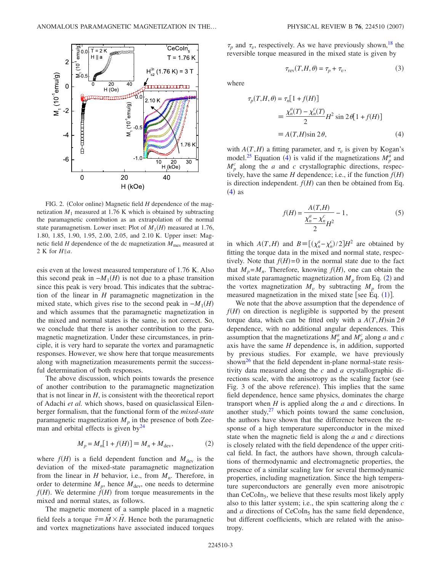<span id="page-2-0"></span>

FIG. 2. (Color online) Magnetic field *H* dependence of the magnetization  $M_1$  measured at 1.76 K which is obtained by subtracting the paramagnetic contribution as an extrapolation of the normal state paramagnetism. Lower inset: Plot of  $M_1(H)$  measured at 1.76, 1.80, 1.85, 1.90, 1.95, 2.00, 2.05, and 2.10 K. Upper inset: Magnetic field  $H$  dependence of the dc magnetization  $M_{\text{mes}}$  measured at 2 K for  $H||a$ .

esis even at the lowest measured temperature of 1.76 K. Also this second peak in  $-M_1(H)$  is not due to a phase transition since this peak is very broad. This indicates that the subtraction of the linear in *H* paramagnetic magnetization in the mixed state, which gives rise to the second peak in  $-M_1(H)$ and which assumes that the paramagnetic magnetization in the mixed and normal states is the same, is not correct. So, we conclude that there is another contribution to the paramagnetic magnetization. Under these circumstances, in principle, it is very hard to separate the vortex and paramagnetic responses. However, we show here that torque measurements along with magnetization measurements permit the successful determination of both responses.

The above discussion, which points towards the presence of another contribution to the paramagnetic magnetization that is not linear in *H*, is consistent with the theoretical report of Adachi *et al.* which shows, based on quasiclassical Eilenberger formalism, that the functional form of the *mixed-state* paramagnetic magnetization  $M_p$  in the presence of both Zeeman and orbital effects is given by $^{24}$ 

$$
M_p = M_n[1 + f(H)] \equiv M_n + M_{\text{dev}},\tag{2}
$$

<span id="page-2-2"></span>where  $f(H)$  is a field dependent function and  $M_{\text{dev}}$  is the deviation of the mixed-state paramagnetic magnetization from the linear in *H* behavior, i.e., from  $M_n$ . Therefore, in order to determine  $M_p$ , hence  $M_{\text{dev}}$ , one needs to determine  $f(H)$ . We determine  $\dot{f}(H)$  from torque measurements in the mixed and normal states, as follows.

The magnetic moment of a sample placed in a magnetic field feels a torque  $\vec{\tau} = \vec{M} \times \vec{H}$ . Hence both the paramagnetic and vortex magnetizations have associated induced torques  $\tau_p$  and  $\tau_v$ , respectively. As we have previously shown,<sup>18</sup> the reversible torque measured in the mixed state is given by

$$
\tau_{\text{rev}}(T, H, \theta) = \tau_p + \tau_v,\tag{3}
$$

<span id="page-2-3"></span><span id="page-2-1"></span>where

$$
\tau_p(T, H, \theta) = \tau_n[1 + f(H)]
$$
  
\n
$$
\equiv \frac{\chi_n^a(T) - \chi_n^c(T)}{2} H^2 \sin 2\theta [1 + f(H)]
$$
  
\n
$$
\equiv A(T, H) \sin 2\theta,
$$
 (4)

with  $A(T, H)$  a fitting parameter, and  $\tau_v$  is given by Kogan's model.<sup>25</sup> Equation ([4](#page-2-1)) is valid if the magnetizations  $M_p^a$  and  $M_p^c$  along the *a* and *c* crystallographic directions, respectively, have the same *H* dependence; i.e., if the function  $f(H)$ is direction independent.  $f(H)$  can then be obtained from Eq.  $(4)$  $(4)$  $(4)$  as

$$
f(H) = \frac{A(T, H)}{\frac{\chi_n^a - \chi_n^c}{2} H^2} - 1, \tag{5}
$$

<span id="page-2-4"></span>in which  $A(T,H)$  and  $B = [(\chi_n^a - \chi_n^c)/2]H^2$  are obtained by fitting the torque data in the mixed and normal state, respectively. Note that  $f(H)=0$  in the normal state due to the fact that  $M_p = M_n$ . Therefore, knowing  $f(H)$ , one can obtain the mixed state paramagnetic magnetization  $M_p$  from Eq. ([2](#page-2-2)) and the vortex magnetization  $M_v$  by subtracting  $M_p$  from the measured magnetization in the mixed state [see Eq.  $(1)$  $(1)$  $(1)$ ].

We note that the above assumption that the dependence of  $f(H)$  on direction is negligible is supported by the present torque data, which can be fitted only with a  $A(T, H) \sin 2\theta$ dependence, with no additional angular dependences. This assumption that the magnetizations  $M_p^a$  and  $M_p^c$  along *a* and *c* axis have the same  $H$  dependence is, in addition, supported by previous studies. For example, we have previously shown<sup>[26](#page-5-4)</sup> that the field dependent in-plane normal-state resistivity data measured along the *c* and *a* crystallographic directions scale, with the anisotropy as the scaling factor (see Fig. 3 of the above reference). This implies that the same field dependence, hence same physics, dominates the charge transport when *H* is applied along the *a* and *c* directions. In another study, $27$  which points toward the same conclusion, the authors have shown that the difference between the response of a high temperature superconductor in the mixed state when the magnetic field is along the *a* and *c* directions is closely related with the field dependence of the upper critical field. In fact, the authors have shown, through calculations of thermodynamic and electromagnetic properties, the presence of a similar scaling law for several thermodynamic properties, including magnetization. Since the high temperature superconductors are generally even more anisotropic than  $CeCoIn<sub>5</sub>$ , we believe that these results most likely apply also to this latter system; i.e., the spin scattering along the *c* and  $a$  directions of  $CeCoIn<sub>5</sub>$  has the same field dependence, but different coefficients, which are related with the anisotropy.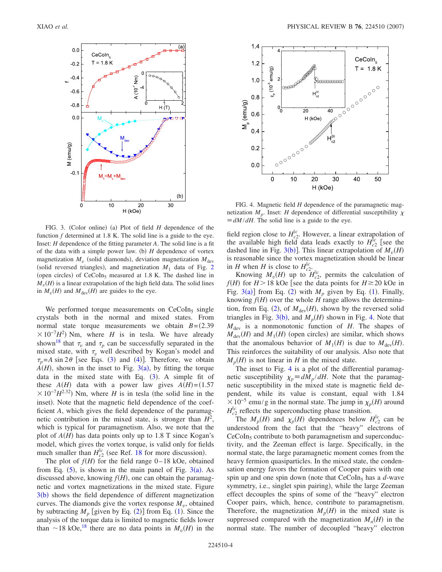<span id="page-3-0"></span>

FIG. 3. (Color online) (a) Plot of field *H* dependence of the function *f* determined at 1.8 K. The solid line is a guide to the eye. Inset: *H* dependence of the fitting parameter *A*. The solid line is a fit of the data with a simple power law. (b)  $H$  dependence of vortex magnetization  $M_v$  (solid diamonds), deviation magnetization  $M_{\text{dev}}$ (solid reversed triangles), and magnetization  $M_1$  data of Fig. [2](#page-2-0) (open circles) of CeCoIn<sub>5</sub> measured at 1.8 K. The dashed line in  $M_{\nu}(H)$  is a linear extrapolation of the high field data. The solid lines in  $M_v(H)$  and  $M_{\text{dev}}(H)$  are guides to the eye.

We performed torque measurements on  $CeCoIn<sub>5</sub>$  single crystals both in the normal and mixed states. From normal state torque measurements we obtain  $B = (2.39)$  $\times 10^{-7}$ *H*<sup>2</sup>) Nm, where *H* is in tesla. We have already shown<sup>18</sup> that  $\tau_v$  and  $\tau_p$  can be successfully separated in the mixed state, with  $\tau_v$  well described by Kogan's model and  $\tau_p = A \sin 2\theta$  [see Eqs. ([3](#page-2-3)) and ([4](#page-2-1))]. Therefore, we obtain  $A(H)$ , shown in the inset to Fig. [3](#page-3-0)(a), by fitting the torque data in the mixed state with Eq.  $(3)$  $(3)$  $(3)$ . A simple fit of these  $A(H)$  data with a power law gives  $A(H) = (1.57$  $\times 10^{-7}$ *H*<sup>2.32</sup>) Nm, where *H* is in tesla (the solid line in the inset). Note that the magnetic field dependence of the coefficient *A*, which gives the field dependence of the paramagnetic contribution in the mixed state, is stronger than  $H^2$ , which is typical for paramagnetism. Also, we note that the plot of  $A(H)$  has data points only up to 1.8 T since Kogan's model, which gives the vortex torque, is valid only for fields much smaller than  $H_{c2}^{\parallel c}$  (see Ref. [18](#page-4-15) for more discussion).

The plot of  $f(H)$  for the field range  $0-18$  kOe, obtained from Eq.  $(5)$  $(5)$  $(5)$ , is shown in the main panel of Fig.  $3(a)$  $3(a)$ . As discussed above, knowing  $f(H)$ , one can obtain the paramagnetic and vortex magnetizations in the mixed state. Figure  $3(b)$  $3(b)$  shows the field dependence of different magnetization curves. The diamonds give the vortex response  $M<sub>v</sub>$ , obtained by subtracting  $M_p$  [given by Eq. ([2](#page-2-2))] from Eq. ([1](#page-1-1)). Since the analysis of the torque data is limited to magnetic fields lower than  $\sim$ 18 kOe,<sup>18</sup> there are no data points in  $M_v(H)$  in the

<span id="page-3-1"></span>

FIG. 4. Magnetic field *H* dependence of the paramagnetic magnetization  $M_p$ . Inset: *H* dependence of differential susceptibility  $\chi$  $\equiv dM/dH$ . The solid line is a guide to the eye.

field region close to  $H_{c2}^{\parallel c}$ . However, a linear extrapolation of the available high field data leads exactly to  $H_{c2}^{\parallel c}$  [see the dashed line in Fig. [3](#page-3-0)(b)]. This linear extrapolation of  $M_v(H)$ is reasonable since the vortex magnetization should be linear in *H* when *H* is close to  $H_{c2}^{\parallel c}$ .

Knowing  $M_v(H)$  up to  $H_{c2}^{\parallel c}$ , permits the calculation of  $f(H)$  for  $H > 18$  kOe [see the data points for  $H \ge 20$  kOe in Fig.  $3(a)$  $3(a)$ ] from Eq. ([2](#page-2-2)) with  $M_p$  given by Eq. ([1](#page-1-1)). Finally, knowing  $f(H)$  over the whole  $H$  range allows the determina-tion, from Eq. ([2](#page-2-2)), of  $M_{\text{dev}}(H)$ , shown by the reversed solid triangles in Fig. [3](#page-3-0)(b), and  $M_p(H)$  shown in Fig. [4.](#page-3-1) Note that  $M_{\text{dev}}$  is a nonmonotonic function of *H*. The shapes of  $M_{\text{dev}}(H)$  and  $M_1(H)$  (open circles) are similar, which shows that the anomalous behavior of  $M_1(H)$  is due to  $M_{\text{dev}}(H)$ . This reinforces the suitability of our analysis. Also note that  $M_p(H)$  is not linear in *H* in the mixed state.

The inset to Fig. [4](#page-3-1) is a plot of the differential paramagnetic susceptibility  $\chi_p \equiv dM_p/dH$ . Note that the paramagnetic susceptibility in the mixed state is magnetic field dependent, while its value is constant, equal with 1.84  $\times 10^{-5}$  emu/g in the normal state. The jump in  $\chi_p(H)$  around  $H_{c2}^{||c}$  reflects the superconducting phase transition.

The  $M_p(H)$  and  $\chi_p(H)$  dependences below  $H_{c2}^{\parallel c}$  can be understood from the fact that the "heavy" electrons of  $CeCoIn<sub>5</sub>$  contribute to both paramagnetism and superconductivity, and the Zeeman effect is large. Specifically, in the normal state, the large paramagnetic moment comes from the heavy fermion quasiparticles. In the mixed state, the condensation energy favors the formation of Cooper pairs with one spin up and one spin down (note that  $CeCoIn<sub>5</sub>$  has a *d*-wave symmetry, i.e., singlet spin pairing), while the large Zeeman effect decouples the spins of some of the "heavy" electron Cooper pairs, which, hence, contribute to paramagnetism. Therefore, the magnetization  $M_p(H)$  in the mixed state is suppressed compared with the magnetization  $M_n(H)$  in the normal state. The number of decoupled "heavy" electron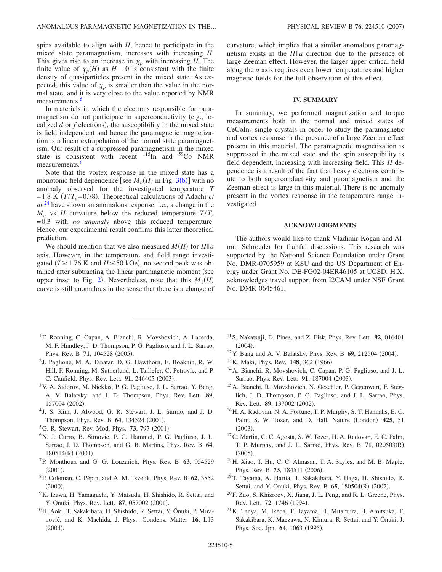spins available to align with *H*, hence to participate in the mixed state paramagnetism, increases with increasing *H*. This gives rise to an increase in  $\chi_p$  with increasing *H*. The finite value of  $\chi_p(H)$  as  $H \rightarrow 0$  is consistent with the finite density of quasiparticles present in the mixed state. As expected, this value of  $\chi_p$  is smaller than the value in the normal state, and it is very close to the value reported by NMR measurements.<sup>6</sup>

In materials in which the electrons responsible for paramagnetism do not participate in superconductivity (e.g., localized  $d$  or  $f$  electrons), the susceptibility in the mixed state is field independent and hence the paramagnetic magnetization is a linear extrapolation of the normal state paramagnetism. Our result of a suppressed paramagnetism in the mixed state is consistent with recent  $^{115}$ In and  $^{59}$ Co NMR measurements.<sup>6</sup>

Note that the vortex response in the mixed state has a monotonic field dependence [see  $M_v(H)$  in Fig. [3](#page-3-0)(b)] with no anomaly observed for the investigated temperature *T*  $= 1.8$  K ( $T/T_c = 0.78$ ). Theorectical calculations of Adachi *et al.*[24](#page-5-2) have shown an anomalous response, i.e., a change in the  $M_v$  vs *H* curvature below the reduced temperature  $T/T_c$ = 0.3 with *no anomaly* above this reduced temperature. Hence, our experimental result confirms this latter theoretical prediction.

We should mention that we also measured  $M(H)$  for  $H||a$ axis. However, in the temperature and field range investigated ( $T \ge 1.76$  K and  $H \le 50$  kOe), no second peak was obtained after subtracting the linear paramagnetic moment (see upper inset to Fig. [2](#page-2-0)). Nevertheless, note that this  $M_1(H)$ curve is still anomalous in the sense that there is a change of curvature, which implies that a similar anomalous paramagnetism exists in the  $H||a$  direction due to the presence of large Zeeman effect. However, the larger upper critical field along the *a* axis requires even lower temperatures and higher magnetic fields for the full observation of this effect.

### **IV. SUMMARY**

In summary, we performed magnetization and torque measurements both in the normal and mixed states of  $CeCoIn<sub>5</sub>$  single crystals in order to study the paramagnetic and vortex response in the presence of a large Zeeman effect present in this material. The paramagnetic magnetization is suppressed in the mixed state and the spin susceptibility is field dependent, increasing with increasing field. This *H* dependence is a result of the fact that heavy electrons contribute to both superconductivity and paramagnetism and the Zeeman effect is large in this material. There is no anomaly present in the vortex response in the temperature range investigated.

## **ACKNOWLEDGMENTS**

The authors would like to thank Vladimir Kogan and Almut Schroeder for fruitful discussions. This research was supported by the National Science Foundation under Grant No. DMR-0705959 at KSU and the US Department of Energy under Grant No. DE-FG02-04ER46105 at UCSD. H.X. acknowledges travel support from I2CAM under NSF Grant No. DMR 0645461.

- <span id="page-4-0"></span><sup>1</sup>F. Ronning, C. Capan, A. Bianchi, R. Movshovich, A. Lacerda, M. F. Hundley, J. D. Thompson, P. G. Pagliuso, and J. L. Sarrao, Phys. Rev. B 71, 104528 (2005).
- <sup>2</sup> J. Paglione, M. A. Tanatar, D. G. Hawthorn, E. Boaknin, R. W. Hill, F. Ronning, M. Sutherland, L. Taillefer, C. Petrovic, and P. C. Canfield, Phys. Rev. Lett. 91, 246405 (2003).
- <span id="page-4-1"></span>3V. A. Sidorov, M. Nicklas, P. G. Pagliuso, J. L. Sarrao, Y. Bang, A. V. Balatsky, and J. D. Thompson, Phys. Rev. Lett. **89**, 157004 (2002).
- <span id="page-4-2"></span><sup>4</sup> J. S. Kim, J. Alwood, G. R. Stewart, J. L. Sarrao, and J. D. Thompson, Phys. Rev. B 64, 134524 (2001).
- <span id="page-4-3"></span><sup>5</sup>G. R. Stewart, Rev. Mod. Phys. **73**, 797 (2001).
- <span id="page-4-4"></span><sup>6</sup>N. J. Curro, B. Simovic, P. C. Hammel, P. G. Pagliuso, J. L. Sarrao, J. D. Thompson, and G. B. Martins, Phys. Rev. B **64**, 180514(R) (2001).
- 7P. Monthoux and G. G. Lonzarich, Phys. Rev. B **63**, 054529  $(2001).$
- <span id="page-4-5"></span>8P. Coleman, C. Pépin, and A. M. Tsvelik, Phys. Rev. B **62**, 3852  $(2000).$
- <span id="page-4-6"></span><sup>9</sup>K. Izawa, H. Yamaguchi, Y. Matsuda, H. Shishido, R. Settai, and Y. Onuki, Phys. Rev. Lett. 87, 057002 (2001).
- <span id="page-4-7"></span>10H. Aoki, T. Sakakibara, H. Shishido, R. Settai, Y. Ōnuki, P. Miranović, and K. Machida, J. Phys.: Condens. Matter **16**, L13  $(2004).$
- <span id="page-4-8"></span>11S. Nakatsuji, D. Pines, and Z. Fisk, Phys. Rev. Lett. **92**, 016401  $(2004).$
- <span id="page-4-9"></span><sup>12</sup> Y. Bang and A. V. Balatsky, Phys. Rev. B **69**, 212504 (2004).
- <span id="page-4-10"></span><sup>13</sup> K. Maki, Phys. Rev. **148**, 362 (1966).
- <span id="page-4-11"></span>14A. Bianchi, R. Movshovich, C. Capan, P. G. Pagliuso, and J. L. Sarrao, Phys. Rev. Lett. 91, 187004 (2003).
- <span id="page-4-12"></span>15A. Bianchi, R. Movshovich, N. Oeschler, P. Gegenwart, F. Steglich, J. D. Thompson, P. G. Pagliuso, and J. L. Sarrao, Phys. Rev. Lett. **89**, 137002 (2002).
- <span id="page-4-13"></span>16H. A. Radovan, N. A. Fortune, T. P. Murphy, S. T. Hannahs, E. C. Palm, S. W. Tozer, and D. Hall, Nature (London) 425, 51  $(2003).$
- <span id="page-4-14"></span>17C. Martin, C. C. Agosta, S. W. Tozer, H. A. Radovan, E. C. Palm, T. P. Murphy, and J. L. Sarrao, Phys. Rev. B **71**, 020503R-  $(2005).$
- <span id="page-4-15"></span>18H. Xiao, T. Hu, C. C. Almasan, T. A. Sayles, and M. B. Maple, Phys. Rev. B 73, 184511 (2006).
- <span id="page-4-16"></span>19T. Tayama, A. Harita, T. Sakakibara, Y. Haga, H. Shishido, R. Settai, and Y. Onuki, Phys. Rev. B 65, 180504(R) (2002).
- <span id="page-4-17"></span> $20$ F. Zuo, S. Khizroev, X. Jiang, J. L. Peng, and R. L. Greene, Phys. Rev. Lett. **72**, 1746 (1994).
- <span id="page-4-18"></span>21K. Tenya, M. Ikeda, T. Tayama, H. Mitamura, H. Amitsuka, T. Sakakibara, K. Maezawa, N. Kimura, R. Settai, and Y. Ōnuki, J. Phys. Soc. Jpn. **64**, 1063 (1995).